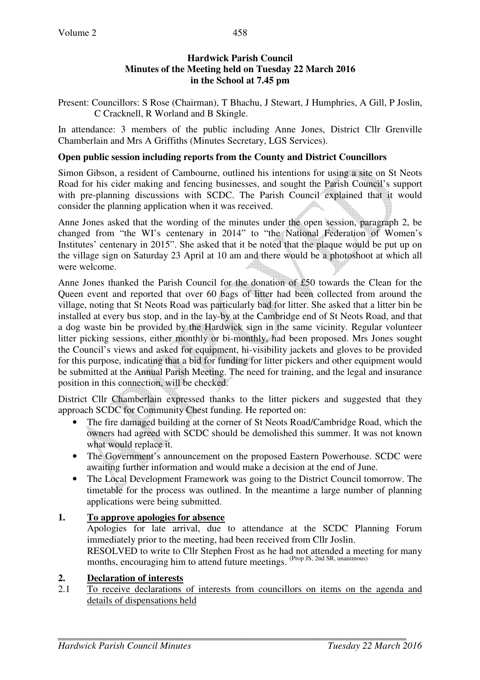## **Hardwick Parish Council Minutes of the Meeting held on Tuesday 22 March 2016 in the School at 7.45 pm**

Present: Councillors: S Rose (Chairman), T Bhachu, J Stewart, J Humphries, A Gill, P Joslin, C Cracknell, R Worland and B Skingle.

In attendance: 3 members of the public including Anne Jones, District Cllr Grenville Chamberlain and Mrs A Griffiths (Minutes Secretary, LGS Services).

### **Open public session including reports from the County and District Councillors**

Simon Gibson, a resident of Cambourne, outlined his intentions for using a site on St Neots Road for his cider making and fencing businesses, and sought the Parish Council's support with pre-planning discussions with SCDC. The Parish Council explained that it would consider the planning application when it was received.

Anne Jones asked that the wording of the minutes under the open session, paragraph 2, be changed from "the WI's centenary in 2014" to "the National Federation of Women's Institutes' centenary in 2015". She asked that it be noted that the plaque would be put up on the village sign on Saturday 23 April at 10 am and there would be a photoshoot at which all were welcome.

Anne Jones thanked the Parish Council for the donation of £50 towards the Clean for the Queen event and reported that over 60 bags of litter had been collected from around the village, noting that St Neots Road was particularly bad for litter. She asked that a litter bin be installed at every bus stop, and in the lay-by at the Cambridge end of St Neots Road, and that a dog waste bin be provided by the Hardwick sign in the same vicinity. Regular volunteer litter picking sessions, either monthly or bi-monthly, had been proposed. Mrs Jones sought the Council's views and asked for equipment, hi-visibility jackets and gloves to be provided for this purpose, indicating that a bid for funding for litter pickers and other equipment would be submitted at the Annual Parish Meeting. The need for training, and the legal and insurance position in this connection, will be checked.

District Cllr Chamberlain expressed thanks to the litter pickers and suggested that they approach SCDC for Community Chest funding. He reported on:

- The fire damaged building at the corner of St Neots Road/Cambridge Road, which the owners had agreed with SCDC should be demolished this summer. It was not known what would replace it.
- The Government's announcement on the proposed Eastern Powerhouse. SCDC were awaiting further information and would make a decision at the end of June.
- The Local Development Framework was going to the District Council tomorrow. The timetable for the process was outlined. In the meantime a large number of planning applications were being submitted.

## **1. To approve apologies for absence**

Apologies for late arrival, due to attendance at the SCDC Planning Forum immediately prior to the meeting, had been received from Cllr Joslin. RESOLVED to write to Cllr Stephen Frost as he had not attended a meeting for many months, encouraging him to attend future meetings. (Prop JS, 2nd SR, unanimous)

#### **2. Declaration of interests**

2.1 To receive declarations of interests from councillors on items on the agenda and details of dispensations held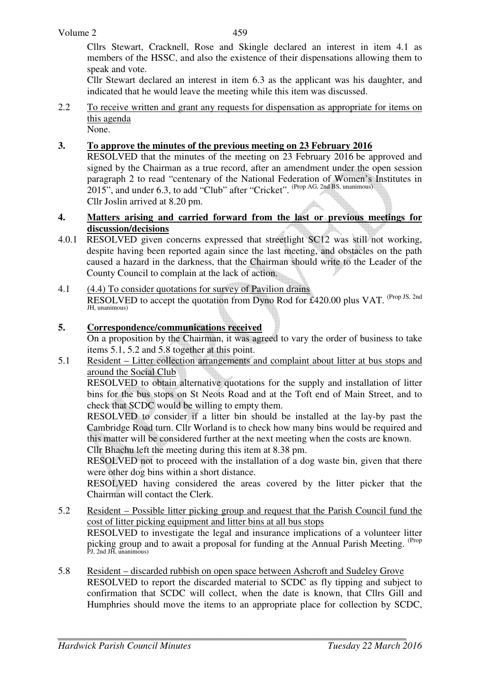Cllrs Stewart, Cracknell, Rose and Skingle declared an interest in item 4.1 as members of the HSSC, and also the existence of their dispensations allowing them to speak and vote.

Cllr Stewart declared an interest in item 6.3 as the applicant was his daughter, and indicated that he would leave the meeting while this item was discussed.

2.2 To receive written and grant any requests for dispensation as appropriate for items on this agenda None.

## **3. To approve the minutes of the previous meeting on 23 February 2016**

RESOLVED that the minutes of the meeting on 23 February 2016 be approved and signed by the Chairman as a true record, after an amendment under the open session paragraph 2 to read "centenary of the National Federation of Women's Institutes in  $2015$ ", and under 6.3, to add "Club" after "Cricket". (Prop AG, 2nd BS, unanimous) Cllr Joslin arrived at 8.20 pm.

### **4. Matters arising and carried forward from the last or previous meetings for discussion/decisions**

- 4.0.1 RESOLVED given concerns expressed that streetlight SC12 was still not working, despite having been reported again since the last meeting, and obstacles on the path caused a hazard in the darkness, that the Chairman should write to the Leader of the County Council to complain at the lack of action.
- 4.1 (4.4) To consider quotations for survey of Pavilion drains RESOLVED to accept the quotation from Dyno Rod for £420.00 plus VAT. <sup>(Prop JS, 2nd</sup>) JH, unanimous)

## **5. Correspondence/communications received**

 On a proposition by the Chairman, it was agreed to vary the order of business to take items 5.1, 5.2 and 5.8 together at this point.

5.1 Resident – Litter collection arrangements and complaint about litter at bus stops and around the Social Club

RESOLVED to obtain alternative quotations for the supply and installation of litter bins for the bus stops on St Neots Road and at the Toft end of Main Street, and to check that SCDC would be willing to empty them.

RESOLVED to consider if a litter bin should be installed at the lay-by past the Cambridge Road turn. Cllr Worland is to check how many bins would be required and this matter will be considered further at the next meeting when the costs are known. Cllr Bhachu left the meeting during this item at 8.38 pm.

RESOLVED not to proceed with the installation of a dog waste bin, given that there were other dog bins within a short distance.

RESOLVED having considered the areas covered by the litter picker that the Chairman will contact the Clerk.

- 5.2 Resident Possible litter picking group and request that the Parish Council fund the cost of litter picking equipment and litter bins at all bus stops RESOLVED to investigate the legal and insurance implications of a volunteer litter picking group and to await a proposal for funding at the Annual Parish Meeting. (Prop PJ, 2nd JH, unanimous)
- 5.8 Resident discarded rubbish on open space between Ashcroft and Sudeley Grove RESOLVED to report the discarded material to SCDC as fly tipping and subject to confirmation that SCDC will collect, when the date is known, that Cllrs Gill and Humphries should move the items to an appropriate place for collection by SCDC,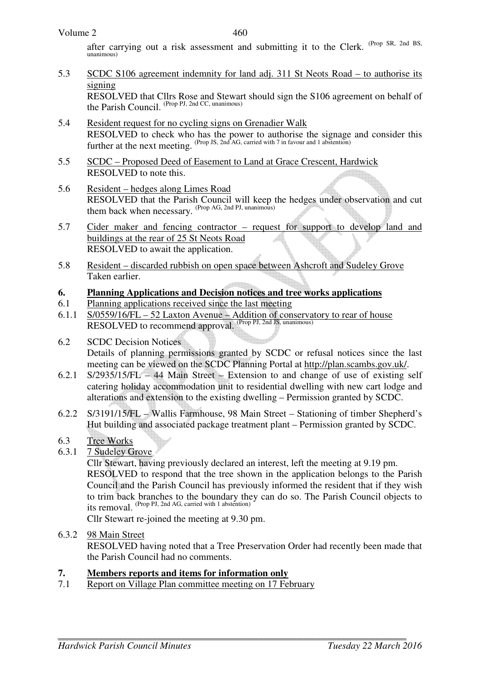after carrying out a risk assessment and submitting it to the Clerk. (Prop SR, 2nd BS, unanimous)

5.3 SCDC S106 agreement indemnity for land adj. 311 St Neots Road – to authorise its signing

RESOLVED that Cllrs Rose and Stewart should sign the S106 agreement on behalf of the Parish Council. (Prop PJ, 2nd CC, unanimous)

- 5.4 Resident request for no cycling signs on Grenadier Walk RESOLVED to check who has the power to authorise the signage and consider this further at the next meeting. (Prop JS, 2nd AG, carried with 7 in favour and 1 abstention)
- 5.5 SCDC Proposed Deed of Easement to Land at Grace Crescent, Hardwick RESOLVED to note this.
- 5.6 Resident hedges along Limes Road RESOLVED that the Parish Council will keep the hedges under observation and cut them back when necessary. (Prop AG, 2nd PJ, unanimous)
- 5.7 Cider maker and fencing contractor request for support to develop land and buildings at the rear of 25 St Neots Road RESOLVED to await the application.
- 5.8 Resident discarded rubbish on open space between Ashcroft and Sudeley Grove Taken earlier.

# **6. Planning Applications and Decision notices and tree works applications**

- 6.1 Planning applications received since the last meeting
- 6.1.1 S/0559/16/FL 52 Laxton Avenue Addition of conservatory to rear of house RESOLVED to recommend approval. (Prop PJ, 2nd JS, unanimous)
- 6.2 SCDC Decision Notices Details of planning permissions granted by SCDC or refusal notices since the last meeting can be viewed on the SCDC Planning Portal at http://plan.scambs.gov.uk/.
- 6.2.1 S/2935/15/FL 44 Main Street Extension to and change of use of existing self catering holiday accommodation unit to residential dwelling with new cart lodge and alterations and extension to the existing dwelling – Permission granted by SCDC.
- 6.2.2 S/3191/15/FL Wallis Farmhouse, 98 Main Street Stationing of timber Shepherd's Hut building and associated package treatment plant – Permission granted by SCDC.

# 6.3 Tree Works

6.3.1 7 Sudeley Grove

 Cllr Stewart, having previously declared an interest, left the meeting at 9.19 pm. RESOLVED to respond that the tree shown in the application belongs to the Parish Council and the Parish Council has previously informed the resident that if they wish to trim back branches to the boundary they can do so. The Parish Council objects to its removal. (Prop PJ, 2nd AG, carried with 1 abstention)

Cllr Stewart re-joined the meeting at 9.30 pm.

6.3.2 98 Main Street

RESOLVED having noted that a Tree Preservation Order had recently been made that the Parish Council had no comments.

## **7. Members reports and items for information only**

7.1 Report on Village Plan committee meeting on 17 February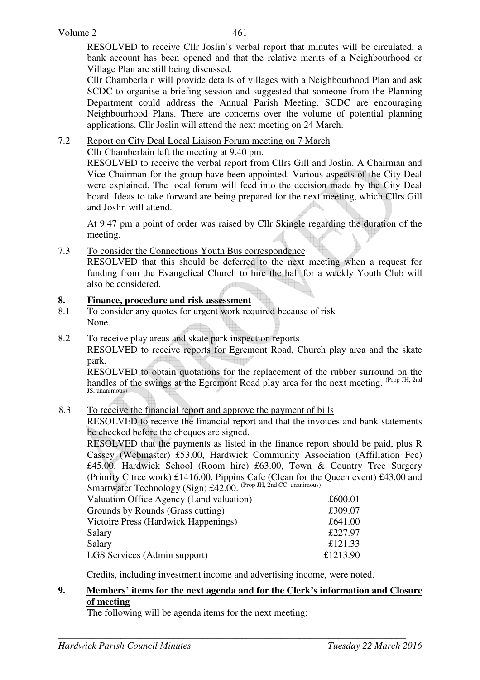RESOLVED to receive Cllr Joslin's verbal report that minutes will be circulated, a bank account has been opened and that the relative merits of a Neighbourhood or Village Plan are still being discussed.

Cllr Chamberlain will provide details of villages with a Neighbourhood Plan and ask SCDC to organise a briefing session and suggested that someone from the Planning Department could address the Annual Parish Meeting. SCDC are encouraging Neighbourhood Plans. There are concerns over the volume of potential planning applications. Cllr Joslin will attend the next meeting on 24 March.

# 7.2 Report on City Deal Local Liaison Forum meeting on 7 March

Cllr Chamberlain left the meeting at 9.40 pm.

RESOLVED to receive the verbal report from Cllrs Gill and Joslin. A Chairman and Vice-Chairman for the group have been appointed. Various aspects of the City Deal were explained. The local forum will feed into the decision made by the City Deal board. Ideas to take forward are being prepared for the next meeting, which Cllrs Gill and Joslin will attend.

At 9.47 pm a point of order was raised by Cllr Skingle regarding the duration of the meeting.

# 7.3 To consider the Connections Youth Bus correspondence

RESOLVED that this should be deferred to the next meeting when a request for funding from the Evangelical Church to hire the hall for a weekly Youth Club will also be considered.

## **8. Finance, procedure and risk assessment**

- 8.1 To consider any quotes for urgent work required because of risk None.
- 8.2 To receive play areas and skate park inspection reports

 RESOLVED to receive reports for Egremont Road, Church play area and the skate park.

RESOLVED to obtain quotations for the replacement of the rubber surround on the handles of the swings at the Egremont Road play area for the next meeting. <sup>(Prop JH, 2nd</sup>) JS, unanimous)

## 8.3 To receive the financial report and approve the payment of bills

RESOLVED to receive the financial report and that the invoices and bank statements be checked before the cheques are signed.

RESOLVED that the payments as listed in the finance report should be paid, plus R Cassey (Webmaster) £53.00, Hardwick Community Association (Affiliation Fee) £45.00, Hardwick School (Room hire) £63.00, Town & Country Tree Surgery (Priority C tree work) £1416.00, Pippins Cafe (Clean for the Queen event) £43.00 and Smartwater Technology (Sign) £42.00. (Prop JH, 2nd CC, unanimous)

| Valuation Office Agency (Land valuation) | £600.01  |
|------------------------------------------|----------|
| Grounds by Rounds (Grass cutting)        | £309.07  |
| Victoire Press (Hardwick Happenings)     | £641.00  |
| Salary                                   | £227.97  |
| Salary                                   | £121.33  |
| LGS Services (Admin support)             | £1213.90 |
|                                          |          |

Credits, including investment income and advertising income, were noted.

### **9. Members' items for the next agenda and for the Clerk's information and Closure of meeting**

The following will be agenda items for the next meeting: